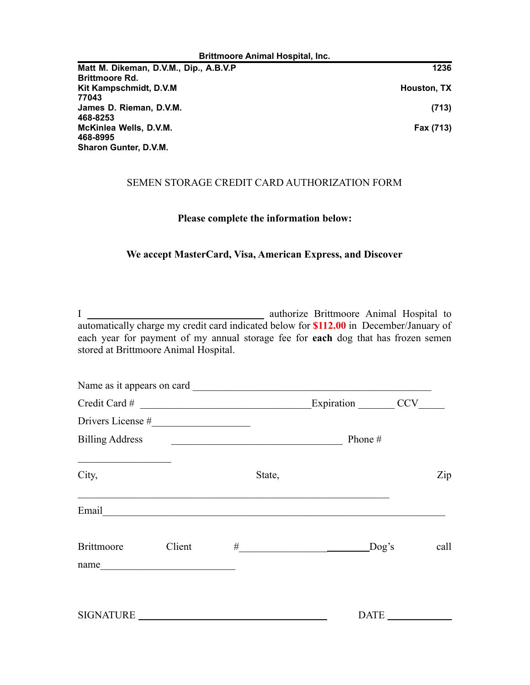| <b>Brittmoore Animal Hospital, Inc.</b> |             |  |
|-----------------------------------------|-------------|--|
| Matt M. Dikeman, D.V.M., Dip., A.B.V.P  | 1236        |  |
| <b>Brittmoore Rd.</b>                   |             |  |
| Kit Kampschmidt, D.V.M.                 | Houston, TX |  |
| 77043                                   |             |  |
| James D. Rieman, D.V.M.                 | (713)       |  |
| 468-8253                                |             |  |
| McKinlea Wells, D.V.M.                  | Fax (713)   |  |
| 468-8995                                |             |  |
| <b>Sharon Gunter, D.V.M.</b>            |             |  |

## SEMEN STORAGE CREDIT CARD AUTHORIZATION FORM

## **Please complete the information below:**

## **We accept MasterCard, Visa, American Express, and Discover**

I \_\_\_\_\_\_\_\_\_\_\_\_\_\_\_\_\_\_\_\_\_\_\_\_\_\_\_\_\_\_\_\_\_\_ authorize Brittmoore Animal Hospital to automatically charge my credit card indicated below for **\$112.00** in December/January of each year for payment of my annual storage fee for **each** dog that has frozen semen stored at Brittmoore Animal Hospital.

|                                                                                                                               |        |                                                                                                                       | Name as it appears on card                  |             |
|-------------------------------------------------------------------------------------------------------------------------------|--------|-----------------------------------------------------------------------------------------------------------------------|---------------------------------------------|-------------|
| $\text{Credit Card} \#$                                                                                                       |        |                                                                                                                       | Expiration CCV                              |             |
|                                                                                                                               |        |                                                                                                                       |                                             |             |
| <b>Billing Address</b>                                                                                                        |        | <u> 2008 - Jan Barbarat, margaret amerikan basar dan basa dan basar dalam basa dalam basa dan basa dan basa dan b</u> | Phone $#$                                   |             |
| <u> Alexandria de la contrada de la contrada de la contrada de la contrada de la contrada de la contrada de la c</u><br>City, |        | State,                                                                                                                |                                             | Zip         |
|                                                                                                                               |        |                                                                                                                       | Email <u>Constantino and Communications</u> |             |
| <b>Brittmoore</b><br>name                                                                                                     | Client |                                                                                                                       | $\#$ Dog's                                  | call        |
| SIGNATURE                                                                                                                     |        |                                                                                                                       |                                             | <b>DATE</b> |